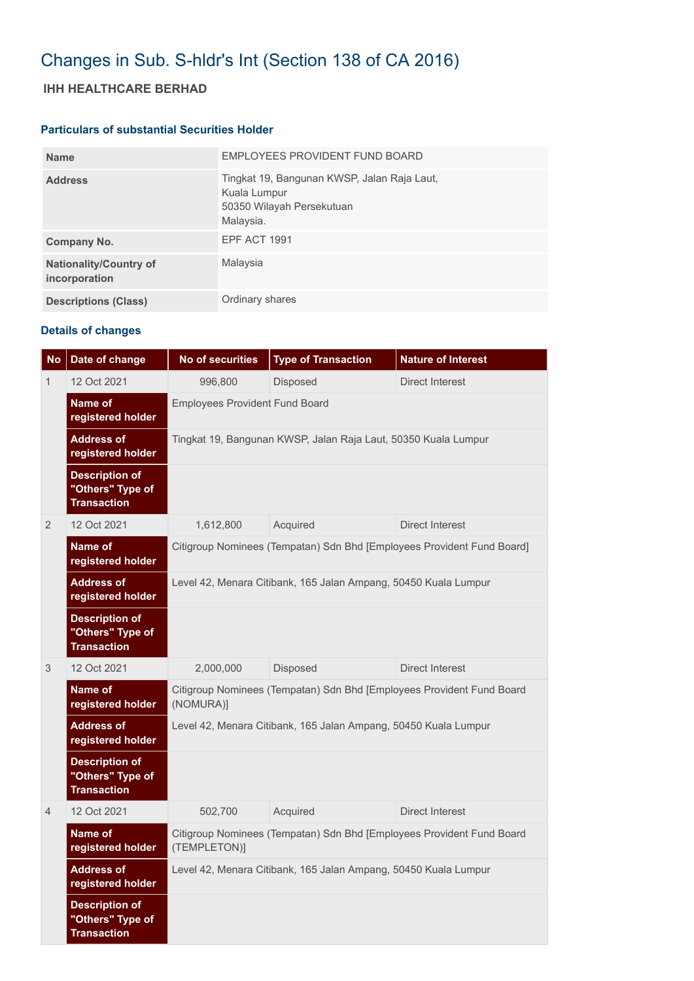# Changes in Sub. S-hldr's Int (Section 138 of CA 2016)

## **IHH HEALTHCARE BERHAD**

#### **Particulars of substantial Securities Holder**

| <b>Name</b>                                    | EMPLOYEES PROVIDENT FUND BOARD                                                                        |
|------------------------------------------------|-------------------------------------------------------------------------------------------------------|
| <b>Address</b>                                 | Tingkat 19, Bangunan KWSP, Jalan Raja Laut,<br>Kuala Lumpur<br>50350 Wilayah Persekutuan<br>Malaysia. |
| Company No.                                    | <b>EPF ACT 1991</b>                                                                                   |
| <b>Nationality/Country of</b><br>incorporation | Malaysia                                                                                              |
| <b>Descriptions (Class)</b>                    | Ordinary shares                                                                                       |

### **Details of changes**

| <b>No</b>      | Date of change                                                  | No of securities                                                                      | <b>Type of Transaction</b> | <b>Nature of Interest</b> |  |  |
|----------------|-----------------------------------------------------------------|---------------------------------------------------------------------------------------|----------------------------|---------------------------|--|--|
| 1              | 12 Oct 2021                                                     | 996,800                                                                               | Disposed                   | Direct Interest           |  |  |
|                | Name of<br>registered holder                                    | <b>Employees Provident Fund Board</b>                                                 |                            |                           |  |  |
|                | <b>Address of</b><br>registered holder                          | Tingkat 19, Bangunan KWSP, Jalan Raja Laut, 50350 Kuala Lumpur                        |                            |                           |  |  |
|                | <b>Description of</b><br>"Others" Type of<br><b>Transaction</b> |                                                                                       |                            |                           |  |  |
| 2              | 12 Oct 2021                                                     | 1,612,800                                                                             | Acquired                   | Direct Interest           |  |  |
|                | Name of<br>registered holder                                    | Citigroup Nominees (Tempatan) Sdn Bhd [Employees Provident Fund Board]                |                            |                           |  |  |
|                | <b>Address of</b><br>registered holder                          | Level 42, Menara Citibank, 165 Jalan Ampang, 50450 Kuala Lumpur                       |                            |                           |  |  |
|                | <b>Description of</b><br>"Others" Type of<br><b>Transaction</b> |                                                                                       |                            |                           |  |  |
| 3              | 12 Oct 2021                                                     | 2,000,000                                                                             | Disposed                   | <b>Direct Interest</b>    |  |  |
|                | Name of<br>registered holder                                    | Citigroup Nominees (Tempatan) Sdn Bhd [Employees Provident Fund Board<br>(NOMURA)]    |                            |                           |  |  |
|                | <b>Address of</b><br>registered holder                          | Level 42, Menara Citibank, 165 Jalan Ampang, 50450 Kuala Lumpur                       |                            |                           |  |  |
|                | <b>Description of</b><br>"Others" Type of<br><b>Transaction</b> |                                                                                       |                            |                           |  |  |
| $\overline{4}$ | 12 Oct 2021                                                     | 502,700                                                                               | Acquired                   | Direct Interest           |  |  |
|                | Name of<br>registered holder                                    | Citigroup Nominees (Tempatan) Sdn Bhd [Employees Provident Fund Board<br>(TEMPLETON)] |                            |                           |  |  |
|                | <b>Address of</b><br>registered holder                          | Level 42, Menara Citibank, 165 Jalan Ampang, 50450 Kuala Lumpur                       |                            |                           |  |  |
|                | <b>Description of</b><br>"Others" Type of<br><b>Transaction</b> |                                                                                       |                            |                           |  |  |